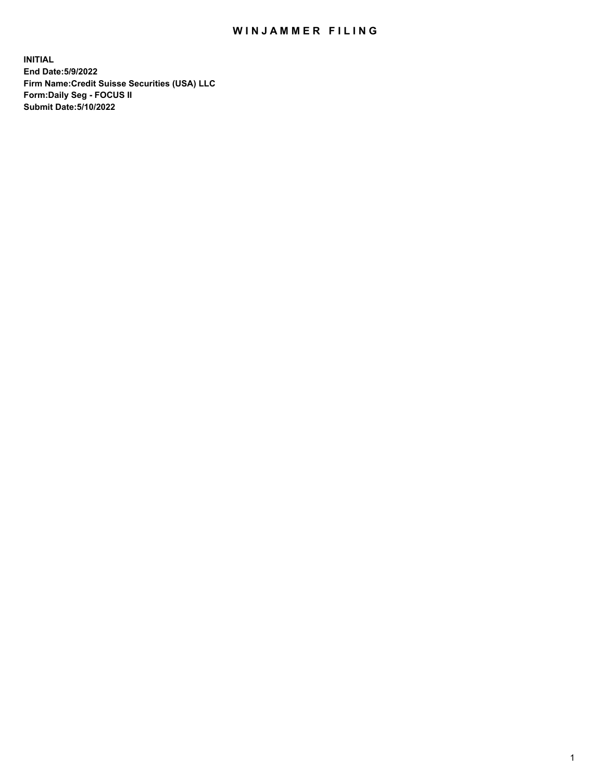# WIN JAMMER FILING

**INITIAL End Date:5/9/2022 Firm Name:Credit Suisse Securities (USA) LLC Form:Daily Seg - FOCUS II Submit Date:5/10/2022**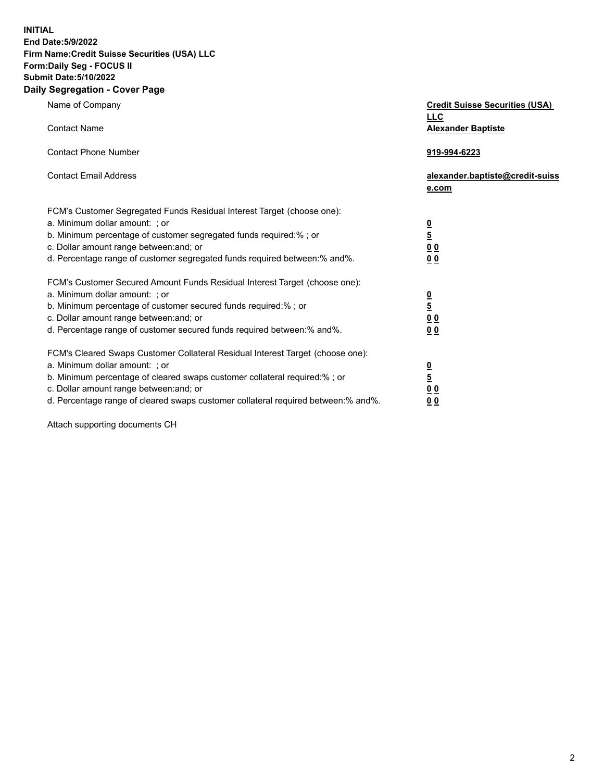**INITIAL End Date:5/9/2022** 

# **Firm Name:Credit Suisse Securities (USA) LLC Form:Daily Seg - FOCUS II Submit Date:5/10/2022**

#### **Daily Segregation - Cover Page**

| Name of Company                                                                                                                                                                                                                                                                                                                | <b>Credit Suisse Securities (USA)</b><br><b>LLC</b>                   |
|--------------------------------------------------------------------------------------------------------------------------------------------------------------------------------------------------------------------------------------------------------------------------------------------------------------------------------|-----------------------------------------------------------------------|
| <b>Contact Name</b>                                                                                                                                                                                                                                                                                                            | <b>Alexander Baptiste</b>                                             |
| <b>Contact Phone Number</b>                                                                                                                                                                                                                                                                                                    | 919-994-6223                                                          |
| <b>Contact Email Address</b>                                                                                                                                                                                                                                                                                                   | alexander.baptiste@credit-suiss<br>e.com                              |
| FCM's Customer Segregated Funds Residual Interest Target (choose one):<br>a. Minimum dollar amount: ; or<br>b. Minimum percentage of customer segregated funds required:% ; or<br>c. Dollar amount range between: and; or<br>d. Percentage range of customer segregated funds required between:% and%.                         | $\frac{\frac{0}{5}}{\frac{0}{0}}$<br>0 <sub>0</sub>                   |
| FCM's Customer Secured Amount Funds Residual Interest Target (choose one):<br>a. Minimum dollar amount: ; or<br>b. Minimum percentage of customer secured funds required:%; or<br>c. Dollar amount range between: and; or<br>d. Percentage range of customer secured funds required between:% and%.                            | $\frac{0}{5}$<br>$\underline{0}$<br>$\underline{0}$<br>0 <sub>0</sub> |
| FCM's Cleared Swaps Customer Collateral Residual Interest Target (choose one):<br>a. Minimum dollar amount: ; or<br>b. Minimum percentage of cleared swaps customer collateral required:% ; or<br>c. Dollar amount range between: and; or<br>d. Percentage range of cleared swaps customer collateral required between:% and%. | $\frac{0}{5}$<br>0 <sub>0</sub><br>0 <sub>0</sub>                     |

Attach supporting documents CH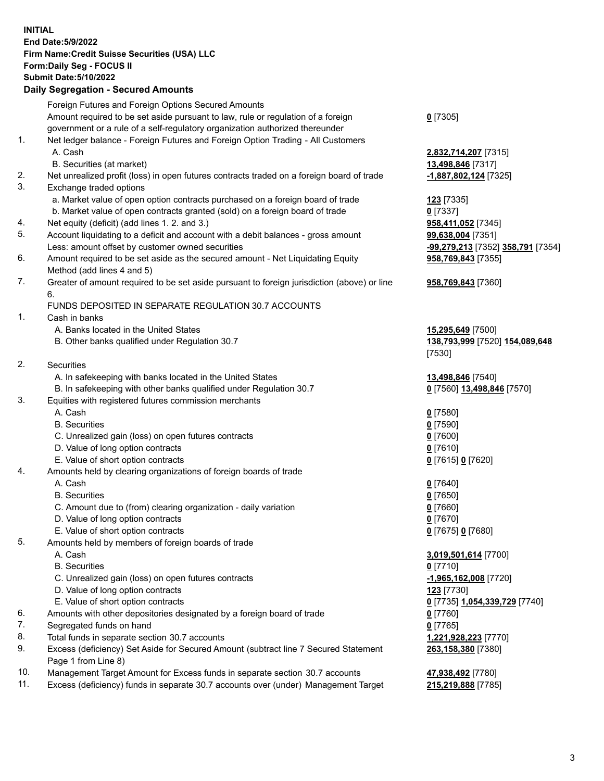## **INITIAL End Date:5/9/2022 Firm Name:Credit Suisse Securities (USA) LLC Form:Daily Seg - FOCUS II Submit Date:5/10/2022**

# **Daily Segregation - Secured Amounts**

|     | Foreign Futures and Foreign Options Secured Amounts                                         |                                                       |
|-----|---------------------------------------------------------------------------------------------|-------------------------------------------------------|
|     | Amount required to be set aside pursuant to law, rule or regulation of a foreign            | $0$ [7305]                                            |
|     | government or a rule of a self-regulatory organization authorized thereunder                |                                                       |
| 1.  | Net ledger balance - Foreign Futures and Foreign Option Trading - All Customers             |                                                       |
|     | A. Cash                                                                                     | 2,832,714,207 [7315]                                  |
|     | B. Securities (at market)                                                                   | 13,498,846 [7317]                                     |
| 2.  | Net unrealized profit (loss) in open futures contracts traded on a foreign board of trade   | -1,887,802,124 [7325]                                 |
| 3.  | Exchange traded options                                                                     |                                                       |
|     | a. Market value of open option contracts purchased on a foreign board of trade              | <b>123</b> [7335]                                     |
|     | b. Market value of open contracts granted (sold) on a foreign board of trade                | $0$ [7337]                                            |
| 4.  | Net equity (deficit) (add lines 1. 2. and 3.)                                               | 958,411,052 [7345]                                    |
| 5.  | Account liquidating to a deficit and account with a debit balances - gross amount           |                                                       |
|     | Less: amount offset by customer owned securities                                            | 99,638,004 [7351]                                     |
| 6.  |                                                                                             | <mark>-99,279,213</mark> [7352] <b>358,791</b> [7354] |
|     | Amount required to be set aside as the secured amount - Net Liquidating Equity              | 958,769,843 [7355]                                    |
|     | Method (add lines 4 and 5)                                                                  |                                                       |
| 7.  | Greater of amount required to be set aside pursuant to foreign jurisdiction (above) or line | 958,769,843 [7360]                                    |
|     | 6.                                                                                          |                                                       |
|     | FUNDS DEPOSITED IN SEPARATE REGULATION 30.7 ACCOUNTS                                        |                                                       |
| 1.  | Cash in banks                                                                               |                                                       |
|     | A. Banks located in the United States                                                       | 15,295,649 [7500]                                     |
|     | B. Other banks qualified under Regulation 30.7                                              | 138,793,999 [7520] 154,089,648                        |
|     |                                                                                             | [7530]                                                |
| 2.  | Securities                                                                                  |                                                       |
|     | A. In safekeeping with banks located in the United States                                   | 13,498,846 [7540]                                     |
|     | B. In safekeeping with other banks qualified under Regulation 30.7                          | 0 [7560] 13,498,846 [7570]                            |
| 3.  | Equities with registered futures commission merchants                                       |                                                       |
|     | A. Cash                                                                                     | $0$ [7580]                                            |
|     | <b>B.</b> Securities                                                                        | $0$ [7590]                                            |
|     | C. Unrealized gain (loss) on open futures contracts                                         | $0$ [7600]                                            |
|     | D. Value of long option contracts                                                           | $0$ [7610]                                            |
|     | E. Value of short option contracts                                                          | 0 [7615] 0 [7620]                                     |
| 4.  | Amounts held by clearing organizations of foreign boards of trade                           |                                                       |
|     | A. Cash                                                                                     | $0$ [7640]                                            |
|     | <b>B.</b> Securities                                                                        | $0$ [7650]                                            |
|     | C. Amount due to (from) clearing organization - daily variation                             | $0$ [7660]                                            |
|     | D. Value of long option contracts                                                           | $0$ [7670]                                            |
|     | E. Value of short option contracts                                                          | 0 [7675] 0 [7680]                                     |
| 5.  | Amounts held by members of foreign boards of trade                                          |                                                       |
|     | A. Cash                                                                                     | 3,019,501,614 [7700]                                  |
|     | <b>B.</b> Securities                                                                        | $0$ [7710]                                            |
|     | C. Unrealized gain (loss) on open futures contracts                                         | -1,965,162,008 [7720]                                 |
|     | D. Value of long option contracts                                                           | 123 [7730]                                            |
|     | E. Value of short option contracts                                                          | 0 [7735] 1,054,339,729 [7740]                         |
| 6.  | Amounts with other depositories designated by a foreign board of trade                      | $0$ [7760]                                            |
| 7.  | Segregated funds on hand                                                                    | $0$ [7765]                                            |
| 8.  | Total funds in separate section 30.7 accounts                                               | 1,221,928,223 [7770]                                  |
| 9.  | Excess (deficiency) Set Aside for Secured Amount (subtract line 7 Secured Statement         | 263,158,380 [7380]                                    |
|     | Page 1 from Line 8)                                                                         |                                                       |
| 10. | Management Target Amount for Excess funds in separate section 30.7 accounts                 | 47,938,492 [7780]                                     |
|     |                                                                                             |                                                       |

11. Excess (deficiency) funds in separate 30.7 accounts over (under) Management Target **215,219,888** [7785]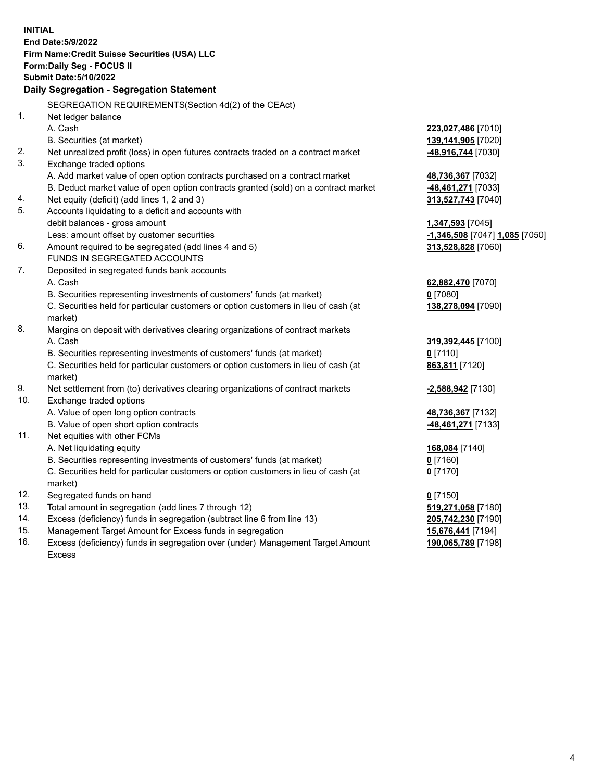| <b>INITIAL</b><br>End Date: 5/9/2022<br>Firm Name: Credit Suisse Securities (USA) LLC<br>Form: Daily Seg - FOCUS II<br><b>Submit Date: 5/10/2022</b><br>Daily Segregation - Segregation Statement<br>SEGREGATION REQUIREMENTS(Section 4d(2) of the CEAct)<br>1.<br>Net ledger balance<br>A. Cash<br>223,027,486 [7010]<br>B. Securities (at market)<br>139,141,905 [7020]<br>2.<br>Net unrealized profit (loss) in open futures contracts traded on a contract market<br>48,916,744 [7030]<br>3.<br>Exchange traded options<br>A. Add market value of open option contracts purchased on a contract market<br>48,736,367 [7032]<br>B. Deduct market value of open option contracts granted (sold) on a contract market<br>48,461,271 [7033]<br>Net equity (deficit) (add lines 1, 2 and 3)<br>313,527,743 [7040]<br>4.<br>5.<br>Accounts liquidating to a deficit and accounts with<br>debit balances - gross amount<br>1,347,593 [7045]<br>Less: amount offset by customer securities<br>-1,346,508 [7047] 1,085 [7050]<br>6.<br>Amount required to be segregated (add lines 4 and 5)<br>313,528,828 [7060]<br>FUNDS IN SEGREGATED ACCOUNTS<br>7.<br>Deposited in segregated funds bank accounts<br>A. Cash<br>62,882,470 [7070]<br>B. Securities representing investments of customers' funds (at market)<br>$0$ [7080]<br>C. Securities held for particular customers or option customers in lieu of cash (at<br>138,278,094 [7090]<br>market)<br>8.<br>Margins on deposit with derivatives clearing organizations of contract markets<br>A. Cash<br>319,392,445 [7100]<br>B. Securities representing investments of customers' funds (at market)<br>$0$ [7110]<br>C. Securities held for particular customers or option customers in lieu of cash (at<br>863,811 [7120]<br>market)<br>9.<br>Net settlement from (to) derivatives clearing organizations of contract markets<br>-2,588,942 [7130]<br>10.<br>Exchange traded options<br>A. Value of open long option contracts<br>48,736,367 [7132]<br>B. Value of open short option contracts<br>-48,461,271 [7133]<br>11.<br>Net equities with other FCMs<br>A. Net liquidating equity<br>168,084 [7140]<br>B. Securities representing investments of customers' funds (at market)<br>$0$ [7160]<br>C. Securities held for particular customers or option customers in lieu of cash (at<br>$0$ [7170]<br>market)<br>12.<br>Segregated funds on hand<br>$0$ [7150]<br>13.<br>Total amount in segregation (add lines 7 through 12)<br>519,271,058 [7180]<br>14.<br>Excess (deficiency) funds in segregation (subtract line 6 from line 13)<br>205,742,230 [7190]<br>15.<br>Management Target Amount for Excess funds in segregation<br>15,676,441 [7194]<br>16.<br>Excess (deficiency) funds in segregation over (under) Management Target Amount<br>190,065,789 [7198]<br><b>Excess</b> |  |  |
|--------------------------------------------------------------------------------------------------------------------------------------------------------------------------------------------------------------------------------------------------------------------------------------------------------------------------------------------------------------------------------------------------------------------------------------------------------------------------------------------------------------------------------------------------------------------------------------------------------------------------------------------------------------------------------------------------------------------------------------------------------------------------------------------------------------------------------------------------------------------------------------------------------------------------------------------------------------------------------------------------------------------------------------------------------------------------------------------------------------------------------------------------------------------------------------------------------------------------------------------------------------------------------------------------------------------------------------------------------------------------------------------------------------------------------------------------------------------------------------------------------------------------------------------------------------------------------------------------------------------------------------------------------------------------------------------------------------------------------------------------------------------------------------------------------------------------------------------------------------------------------------------------------------------------------------------------------------------------------------------------------------------------------------------------------------------------------------------------------------------------------------------------------------------------------------------------------------------------------------------------------------------------------------------------------------------------------------------------------------------------------------------------------------------------------------------------------------------------------------------------------------------------------------------------------------------------------------------------------------------------------------------------------------------------------------------------------------------------------------------------------------------------------------------------------------------------------------------|--|--|
|                                                                                                                                                                                                                                                                                                                                                                                                                                                                                                                                                                                                                                                                                                                                                                                                                                                                                                                                                                                                                                                                                                                                                                                                                                                                                                                                                                                                                                                                                                                                                                                                                                                                                                                                                                                                                                                                                                                                                                                                                                                                                                                                                                                                                                                                                                                                                                                                                                                                                                                                                                                                                                                                                                                                                                                                                                            |  |  |
|                                                                                                                                                                                                                                                                                                                                                                                                                                                                                                                                                                                                                                                                                                                                                                                                                                                                                                                                                                                                                                                                                                                                                                                                                                                                                                                                                                                                                                                                                                                                                                                                                                                                                                                                                                                                                                                                                                                                                                                                                                                                                                                                                                                                                                                                                                                                                                                                                                                                                                                                                                                                                                                                                                                                                                                                                                            |  |  |
|                                                                                                                                                                                                                                                                                                                                                                                                                                                                                                                                                                                                                                                                                                                                                                                                                                                                                                                                                                                                                                                                                                                                                                                                                                                                                                                                                                                                                                                                                                                                                                                                                                                                                                                                                                                                                                                                                                                                                                                                                                                                                                                                                                                                                                                                                                                                                                                                                                                                                                                                                                                                                                                                                                                                                                                                                                            |  |  |
|                                                                                                                                                                                                                                                                                                                                                                                                                                                                                                                                                                                                                                                                                                                                                                                                                                                                                                                                                                                                                                                                                                                                                                                                                                                                                                                                                                                                                                                                                                                                                                                                                                                                                                                                                                                                                                                                                                                                                                                                                                                                                                                                                                                                                                                                                                                                                                                                                                                                                                                                                                                                                                                                                                                                                                                                                                            |  |  |
|                                                                                                                                                                                                                                                                                                                                                                                                                                                                                                                                                                                                                                                                                                                                                                                                                                                                                                                                                                                                                                                                                                                                                                                                                                                                                                                                                                                                                                                                                                                                                                                                                                                                                                                                                                                                                                                                                                                                                                                                                                                                                                                                                                                                                                                                                                                                                                                                                                                                                                                                                                                                                                                                                                                                                                                                                                            |  |  |
|                                                                                                                                                                                                                                                                                                                                                                                                                                                                                                                                                                                                                                                                                                                                                                                                                                                                                                                                                                                                                                                                                                                                                                                                                                                                                                                                                                                                                                                                                                                                                                                                                                                                                                                                                                                                                                                                                                                                                                                                                                                                                                                                                                                                                                                                                                                                                                                                                                                                                                                                                                                                                                                                                                                                                                                                                                            |  |  |
|                                                                                                                                                                                                                                                                                                                                                                                                                                                                                                                                                                                                                                                                                                                                                                                                                                                                                                                                                                                                                                                                                                                                                                                                                                                                                                                                                                                                                                                                                                                                                                                                                                                                                                                                                                                                                                                                                                                                                                                                                                                                                                                                                                                                                                                                                                                                                                                                                                                                                                                                                                                                                                                                                                                                                                                                                                            |  |  |
|                                                                                                                                                                                                                                                                                                                                                                                                                                                                                                                                                                                                                                                                                                                                                                                                                                                                                                                                                                                                                                                                                                                                                                                                                                                                                                                                                                                                                                                                                                                                                                                                                                                                                                                                                                                                                                                                                                                                                                                                                                                                                                                                                                                                                                                                                                                                                                                                                                                                                                                                                                                                                                                                                                                                                                                                                                            |  |  |
|                                                                                                                                                                                                                                                                                                                                                                                                                                                                                                                                                                                                                                                                                                                                                                                                                                                                                                                                                                                                                                                                                                                                                                                                                                                                                                                                                                                                                                                                                                                                                                                                                                                                                                                                                                                                                                                                                                                                                                                                                                                                                                                                                                                                                                                                                                                                                                                                                                                                                                                                                                                                                                                                                                                                                                                                                                            |  |  |
|                                                                                                                                                                                                                                                                                                                                                                                                                                                                                                                                                                                                                                                                                                                                                                                                                                                                                                                                                                                                                                                                                                                                                                                                                                                                                                                                                                                                                                                                                                                                                                                                                                                                                                                                                                                                                                                                                                                                                                                                                                                                                                                                                                                                                                                                                                                                                                                                                                                                                                                                                                                                                                                                                                                                                                                                                                            |  |  |
|                                                                                                                                                                                                                                                                                                                                                                                                                                                                                                                                                                                                                                                                                                                                                                                                                                                                                                                                                                                                                                                                                                                                                                                                                                                                                                                                                                                                                                                                                                                                                                                                                                                                                                                                                                                                                                                                                                                                                                                                                                                                                                                                                                                                                                                                                                                                                                                                                                                                                                                                                                                                                                                                                                                                                                                                                                            |  |  |
|                                                                                                                                                                                                                                                                                                                                                                                                                                                                                                                                                                                                                                                                                                                                                                                                                                                                                                                                                                                                                                                                                                                                                                                                                                                                                                                                                                                                                                                                                                                                                                                                                                                                                                                                                                                                                                                                                                                                                                                                                                                                                                                                                                                                                                                                                                                                                                                                                                                                                                                                                                                                                                                                                                                                                                                                                                            |  |  |
|                                                                                                                                                                                                                                                                                                                                                                                                                                                                                                                                                                                                                                                                                                                                                                                                                                                                                                                                                                                                                                                                                                                                                                                                                                                                                                                                                                                                                                                                                                                                                                                                                                                                                                                                                                                                                                                                                                                                                                                                                                                                                                                                                                                                                                                                                                                                                                                                                                                                                                                                                                                                                                                                                                                                                                                                                                            |  |  |
|                                                                                                                                                                                                                                                                                                                                                                                                                                                                                                                                                                                                                                                                                                                                                                                                                                                                                                                                                                                                                                                                                                                                                                                                                                                                                                                                                                                                                                                                                                                                                                                                                                                                                                                                                                                                                                                                                                                                                                                                                                                                                                                                                                                                                                                                                                                                                                                                                                                                                                                                                                                                                                                                                                                                                                                                                                            |  |  |
|                                                                                                                                                                                                                                                                                                                                                                                                                                                                                                                                                                                                                                                                                                                                                                                                                                                                                                                                                                                                                                                                                                                                                                                                                                                                                                                                                                                                                                                                                                                                                                                                                                                                                                                                                                                                                                                                                                                                                                                                                                                                                                                                                                                                                                                                                                                                                                                                                                                                                                                                                                                                                                                                                                                                                                                                                                            |  |  |
|                                                                                                                                                                                                                                                                                                                                                                                                                                                                                                                                                                                                                                                                                                                                                                                                                                                                                                                                                                                                                                                                                                                                                                                                                                                                                                                                                                                                                                                                                                                                                                                                                                                                                                                                                                                                                                                                                                                                                                                                                                                                                                                                                                                                                                                                                                                                                                                                                                                                                                                                                                                                                                                                                                                                                                                                                                            |  |  |
|                                                                                                                                                                                                                                                                                                                                                                                                                                                                                                                                                                                                                                                                                                                                                                                                                                                                                                                                                                                                                                                                                                                                                                                                                                                                                                                                                                                                                                                                                                                                                                                                                                                                                                                                                                                                                                                                                                                                                                                                                                                                                                                                                                                                                                                                                                                                                                                                                                                                                                                                                                                                                                                                                                                                                                                                                                            |  |  |
|                                                                                                                                                                                                                                                                                                                                                                                                                                                                                                                                                                                                                                                                                                                                                                                                                                                                                                                                                                                                                                                                                                                                                                                                                                                                                                                                                                                                                                                                                                                                                                                                                                                                                                                                                                                                                                                                                                                                                                                                                                                                                                                                                                                                                                                                                                                                                                                                                                                                                                                                                                                                                                                                                                                                                                                                                                            |  |  |
|                                                                                                                                                                                                                                                                                                                                                                                                                                                                                                                                                                                                                                                                                                                                                                                                                                                                                                                                                                                                                                                                                                                                                                                                                                                                                                                                                                                                                                                                                                                                                                                                                                                                                                                                                                                                                                                                                                                                                                                                                                                                                                                                                                                                                                                                                                                                                                                                                                                                                                                                                                                                                                                                                                                                                                                                                                            |  |  |
|                                                                                                                                                                                                                                                                                                                                                                                                                                                                                                                                                                                                                                                                                                                                                                                                                                                                                                                                                                                                                                                                                                                                                                                                                                                                                                                                                                                                                                                                                                                                                                                                                                                                                                                                                                                                                                                                                                                                                                                                                                                                                                                                                                                                                                                                                                                                                                                                                                                                                                                                                                                                                                                                                                                                                                                                                                            |  |  |
|                                                                                                                                                                                                                                                                                                                                                                                                                                                                                                                                                                                                                                                                                                                                                                                                                                                                                                                                                                                                                                                                                                                                                                                                                                                                                                                                                                                                                                                                                                                                                                                                                                                                                                                                                                                                                                                                                                                                                                                                                                                                                                                                                                                                                                                                                                                                                                                                                                                                                                                                                                                                                                                                                                                                                                                                                                            |  |  |
|                                                                                                                                                                                                                                                                                                                                                                                                                                                                                                                                                                                                                                                                                                                                                                                                                                                                                                                                                                                                                                                                                                                                                                                                                                                                                                                                                                                                                                                                                                                                                                                                                                                                                                                                                                                                                                                                                                                                                                                                                                                                                                                                                                                                                                                                                                                                                                                                                                                                                                                                                                                                                                                                                                                                                                                                                                            |  |  |
|                                                                                                                                                                                                                                                                                                                                                                                                                                                                                                                                                                                                                                                                                                                                                                                                                                                                                                                                                                                                                                                                                                                                                                                                                                                                                                                                                                                                                                                                                                                                                                                                                                                                                                                                                                                                                                                                                                                                                                                                                                                                                                                                                                                                                                                                                                                                                                                                                                                                                                                                                                                                                                                                                                                                                                                                                                            |  |  |
|                                                                                                                                                                                                                                                                                                                                                                                                                                                                                                                                                                                                                                                                                                                                                                                                                                                                                                                                                                                                                                                                                                                                                                                                                                                                                                                                                                                                                                                                                                                                                                                                                                                                                                                                                                                                                                                                                                                                                                                                                                                                                                                                                                                                                                                                                                                                                                                                                                                                                                                                                                                                                                                                                                                                                                                                                                            |  |  |
|                                                                                                                                                                                                                                                                                                                                                                                                                                                                                                                                                                                                                                                                                                                                                                                                                                                                                                                                                                                                                                                                                                                                                                                                                                                                                                                                                                                                                                                                                                                                                                                                                                                                                                                                                                                                                                                                                                                                                                                                                                                                                                                                                                                                                                                                                                                                                                                                                                                                                                                                                                                                                                                                                                                                                                                                                                            |  |  |
|                                                                                                                                                                                                                                                                                                                                                                                                                                                                                                                                                                                                                                                                                                                                                                                                                                                                                                                                                                                                                                                                                                                                                                                                                                                                                                                                                                                                                                                                                                                                                                                                                                                                                                                                                                                                                                                                                                                                                                                                                                                                                                                                                                                                                                                                                                                                                                                                                                                                                                                                                                                                                                                                                                                                                                                                                                            |  |  |
|                                                                                                                                                                                                                                                                                                                                                                                                                                                                                                                                                                                                                                                                                                                                                                                                                                                                                                                                                                                                                                                                                                                                                                                                                                                                                                                                                                                                                                                                                                                                                                                                                                                                                                                                                                                                                                                                                                                                                                                                                                                                                                                                                                                                                                                                                                                                                                                                                                                                                                                                                                                                                                                                                                                                                                                                                                            |  |  |
|                                                                                                                                                                                                                                                                                                                                                                                                                                                                                                                                                                                                                                                                                                                                                                                                                                                                                                                                                                                                                                                                                                                                                                                                                                                                                                                                                                                                                                                                                                                                                                                                                                                                                                                                                                                                                                                                                                                                                                                                                                                                                                                                                                                                                                                                                                                                                                                                                                                                                                                                                                                                                                                                                                                                                                                                                                            |  |  |
|                                                                                                                                                                                                                                                                                                                                                                                                                                                                                                                                                                                                                                                                                                                                                                                                                                                                                                                                                                                                                                                                                                                                                                                                                                                                                                                                                                                                                                                                                                                                                                                                                                                                                                                                                                                                                                                                                                                                                                                                                                                                                                                                                                                                                                                                                                                                                                                                                                                                                                                                                                                                                                                                                                                                                                                                                                            |  |  |
|                                                                                                                                                                                                                                                                                                                                                                                                                                                                                                                                                                                                                                                                                                                                                                                                                                                                                                                                                                                                                                                                                                                                                                                                                                                                                                                                                                                                                                                                                                                                                                                                                                                                                                                                                                                                                                                                                                                                                                                                                                                                                                                                                                                                                                                                                                                                                                                                                                                                                                                                                                                                                                                                                                                                                                                                                                            |  |  |
|                                                                                                                                                                                                                                                                                                                                                                                                                                                                                                                                                                                                                                                                                                                                                                                                                                                                                                                                                                                                                                                                                                                                                                                                                                                                                                                                                                                                                                                                                                                                                                                                                                                                                                                                                                                                                                                                                                                                                                                                                                                                                                                                                                                                                                                                                                                                                                                                                                                                                                                                                                                                                                                                                                                                                                                                                                            |  |  |
|                                                                                                                                                                                                                                                                                                                                                                                                                                                                                                                                                                                                                                                                                                                                                                                                                                                                                                                                                                                                                                                                                                                                                                                                                                                                                                                                                                                                                                                                                                                                                                                                                                                                                                                                                                                                                                                                                                                                                                                                                                                                                                                                                                                                                                                                                                                                                                                                                                                                                                                                                                                                                                                                                                                                                                                                                                            |  |  |
|                                                                                                                                                                                                                                                                                                                                                                                                                                                                                                                                                                                                                                                                                                                                                                                                                                                                                                                                                                                                                                                                                                                                                                                                                                                                                                                                                                                                                                                                                                                                                                                                                                                                                                                                                                                                                                                                                                                                                                                                                                                                                                                                                                                                                                                                                                                                                                                                                                                                                                                                                                                                                                                                                                                                                                                                                                            |  |  |
|                                                                                                                                                                                                                                                                                                                                                                                                                                                                                                                                                                                                                                                                                                                                                                                                                                                                                                                                                                                                                                                                                                                                                                                                                                                                                                                                                                                                                                                                                                                                                                                                                                                                                                                                                                                                                                                                                                                                                                                                                                                                                                                                                                                                                                                                                                                                                                                                                                                                                                                                                                                                                                                                                                                                                                                                                                            |  |  |
|                                                                                                                                                                                                                                                                                                                                                                                                                                                                                                                                                                                                                                                                                                                                                                                                                                                                                                                                                                                                                                                                                                                                                                                                                                                                                                                                                                                                                                                                                                                                                                                                                                                                                                                                                                                                                                                                                                                                                                                                                                                                                                                                                                                                                                                                                                                                                                                                                                                                                                                                                                                                                                                                                                                                                                                                                                            |  |  |
|                                                                                                                                                                                                                                                                                                                                                                                                                                                                                                                                                                                                                                                                                                                                                                                                                                                                                                                                                                                                                                                                                                                                                                                                                                                                                                                                                                                                                                                                                                                                                                                                                                                                                                                                                                                                                                                                                                                                                                                                                                                                                                                                                                                                                                                                                                                                                                                                                                                                                                                                                                                                                                                                                                                                                                                                                                            |  |  |
|                                                                                                                                                                                                                                                                                                                                                                                                                                                                                                                                                                                                                                                                                                                                                                                                                                                                                                                                                                                                                                                                                                                                                                                                                                                                                                                                                                                                                                                                                                                                                                                                                                                                                                                                                                                                                                                                                                                                                                                                                                                                                                                                                                                                                                                                                                                                                                                                                                                                                                                                                                                                                                                                                                                                                                                                                                            |  |  |
|                                                                                                                                                                                                                                                                                                                                                                                                                                                                                                                                                                                                                                                                                                                                                                                                                                                                                                                                                                                                                                                                                                                                                                                                                                                                                                                                                                                                                                                                                                                                                                                                                                                                                                                                                                                                                                                                                                                                                                                                                                                                                                                                                                                                                                                                                                                                                                                                                                                                                                                                                                                                                                                                                                                                                                                                                                            |  |  |
|                                                                                                                                                                                                                                                                                                                                                                                                                                                                                                                                                                                                                                                                                                                                                                                                                                                                                                                                                                                                                                                                                                                                                                                                                                                                                                                                                                                                                                                                                                                                                                                                                                                                                                                                                                                                                                                                                                                                                                                                                                                                                                                                                                                                                                                                                                                                                                                                                                                                                                                                                                                                                                                                                                                                                                                                                                            |  |  |
|                                                                                                                                                                                                                                                                                                                                                                                                                                                                                                                                                                                                                                                                                                                                                                                                                                                                                                                                                                                                                                                                                                                                                                                                                                                                                                                                                                                                                                                                                                                                                                                                                                                                                                                                                                                                                                                                                                                                                                                                                                                                                                                                                                                                                                                                                                                                                                                                                                                                                                                                                                                                                                                                                                                                                                                                                                            |  |  |
|                                                                                                                                                                                                                                                                                                                                                                                                                                                                                                                                                                                                                                                                                                                                                                                                                                                                                                                                                                                                                                                                                                                                                                                                                                                                                                                                                                                                                                                                                                                                                                                                                                                                                                                                                                                                                                                                                                                                                                                                                                                                                                                                                                                                                                                                                                                                                                                                                                                                                                                                                                                                                                                                                                                                                                                                                                            |  |  |
|                                                                                                                                                                                                                                                                                                                                                                                                                                                                                                                                                                                                                                                                                                                                                                                                                                                                                                                                                                                                                                                                                                                                                                                                                                                                                                                                                                                                                                                                                                                                                                                                                                                                                                                                                                                                                                                                                                                                                                                                                                                                                                                                                                                                                                                                                                                                                                                                                                                                                                                                                                                                                                                                                                                                                                                                                                            |  |  |
|                                                                                                                                                                                                                                                                                                                                                                                                                                                                                                                                                                                                                                                                                                                                                                                                                                                                                                                                                                                                                                                                                                                                                                                                                                                                                                                                                                                                                                                                                                                                                                                                                                                                                                                                                                                                                                                                                                                                                                                                                                                                                                                                                                                                                                                                                                                                                                                                                                                                                                                                                                                                                                                                                                                                                                                                                                            |  |  |
|                                                                                                                                                                                                                                                                                                                                                                                                                                                                                                                                                                                                                                                                                                                                                                                                                                                                                                                                                                                                                                                                                                                                                                                                                                                                                                                                                                                                                                                                                                                                                                                                                                                                                                                                                                                                                                                                                                                                                                                                                                                                                                                                                                                                                                                                                                                                                                                                                                                                                                                                                                                                                                                                                                                                                                                                                                            |  |  |